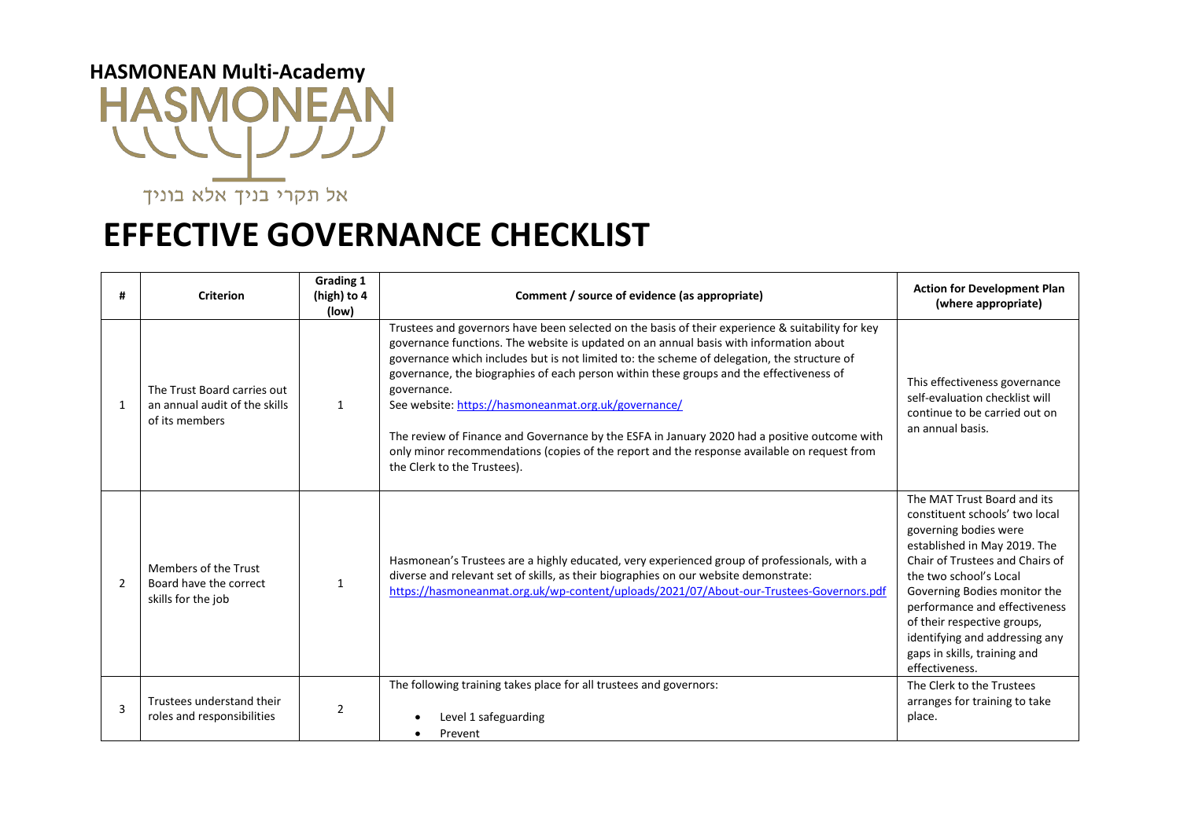## **HASMONEAN Multi-Academy HASMONEAN** WWW

אל תקרי בניך אלא בוניך

## **EFFECTIVE GOVERNANCE CHECKLIST**

| #              | <b>Criterion</b>                                                               | <b>Grading 1</b><br>(high) to 4<br>(low) | Comment / source of evidence (as appropriate)                                                                                                                                                                                                                                                                                                                                                                                                                                                                                                                                                                                                                                             | <b>Action for Development Plan</b><br>(where appropriate)                                                                                                                                                                                                                                                                                                               |
|----------------|--------------------------------------------------------------------------------|------------------------------------------|-------------------------------------------------------------------------------------------------------------------------------------------------------------------------------------------------------------------------------------------------------------------------------------------------------------------------------------------------------------------------------------------------------------------------------------------------------------------------------------------------------------------------------------------------------------------------------------------------------------------------------------------------------------------------------------------|-------------------------------------------------------------------------------------------------------------------------------------------------------------------------------------------------------------------------------------------------------------------------------------------------------------------------------------------------------------------------|
| -1             | The Trust Board carries out<br>an annual audit of the skills<br>of its members | $\mathbf{1}$                             | Trustees and governors have been selected on the basis of their experience & suitability for key<br>governance functions. The website is updated on an annual basis with information about<br>governance which includes but is not limited to: the scheme of delegation, the structure of<br>governance, the biographies of each person within these groups and the effectiveness of<br>governance.<br>See website: https://hasmoneanmat.org.uk/governance/<br>The review of Finance and Governance by the ESFA in January 2020 had a positive outcome with<br>only minor recommendations (copies of the report and the response available on request from<br>the Clerk to the Trustees). | This effectiveness governance<br>self-evaluation checklist will<br>continue to be carried out on<br>an annual basis.                                                                                                                                                                                                                                                    |
| $\mathcal{P}$  | Members of the Trust<br>Board have the correct<br>skills for the job           | 1                                        | Hasmonean's Trustees are a highly educated, very experienced group of professionals, with a<br>diverse and relevant set of skills, as their biographies on our website demonstrate:<br>https://hasmoneanmat.org.uk/wp-content/uploads/2021/07/About-our-Trustees-Governors.pdf                                                                                                                                                                                                                                                                                                                                                                                                            | The MAT Trust Board and its<br>constituent schools' two local<br>governing bodies were<br>established in May 2019. The<br>Chair of Trustees and Chairs of<br>the two school's Local<br>Governing Bodies monitor the<br>performance and effectiveness<br>of their respective groups,<br>identifying and addressing any<br>gaps in skills, training and<br>effectiveness. |
| $\overline{3}$ | Trustees understand their<br>roles and responsibilities                        | $\overline{2}$                           | The following training takes place for all trustees and governors:<br>Level 1 safeguarding<br>Prevent                                                                                                                                                                                                                                                                                                                                                                                                                                                                                                                                                                                     | The Clerk to the Trustees<br>arranges for training to take<br>place.                                                                                                                                                                                                                                                                                                    |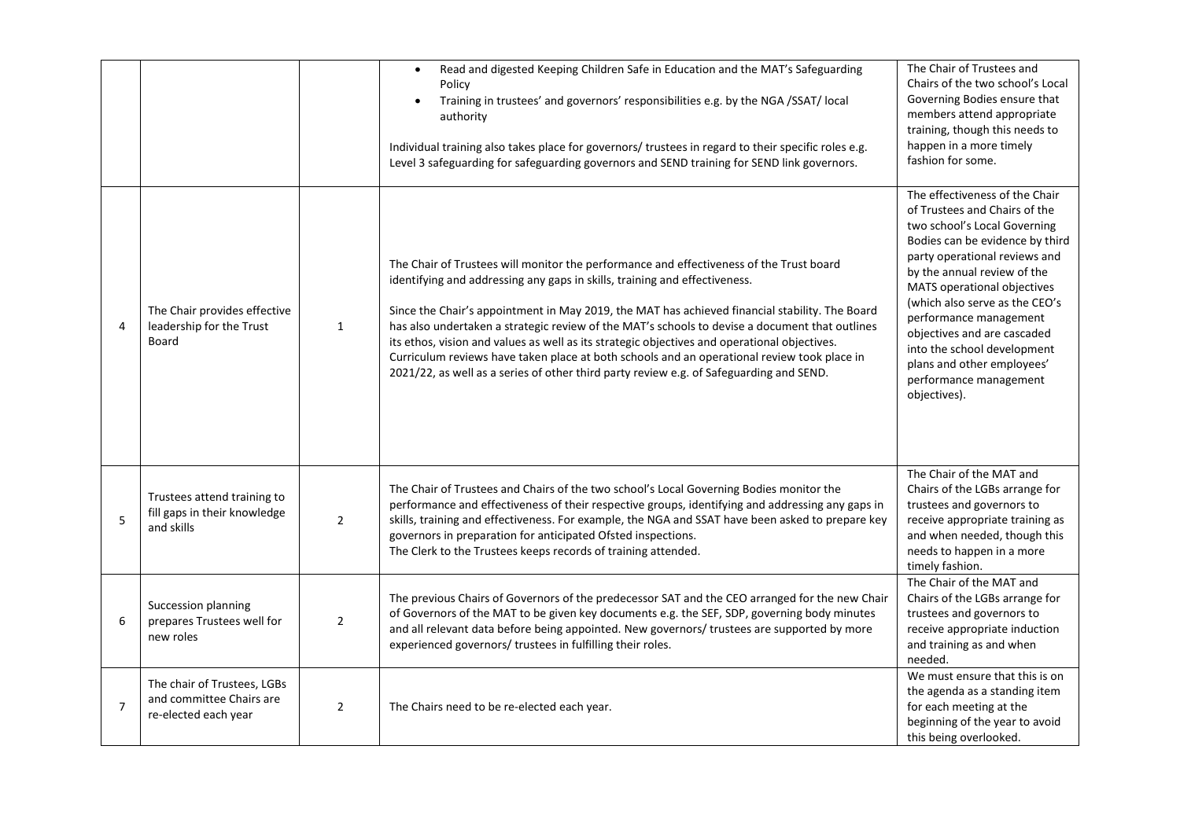|                |                                                                                 |                | Read and digested Keeping Children Safe in Education and the MAT's Safeguarding<br>$\bullet$<br>Policy<br>Training in trustees' and governors' responsibilities e.g. by the NGA /SSAT/ local<br>authority<br>Individual training also takes place for governors/ trustees in regard to their specific roles e.g.<br>Level 3 safeguarding for safeguarding governors and SEND training for SEND link governors.                                                                                                                                                                                                                                                      | The Chair of Trustees and<br>Chairs of the two school's Local<br>Governing Bodies ensure that<br>members attend appropriate<br>training, though this needs to<br>happen in a more timely<br>fashion for some.                                                                                                                                                                                                                       |
|----------------|---------------------------------------------------------------------------------|----------------|---------------------------------------------------------------------------------------------------------------------------------------------------------------------------------------------------------------------------------------------------------------------------------------------------------------------------------------------------------------------------------------------------------------------------------------------------------------------------------------------------------------------------------------------------------------------------------------------------------------------------------------------------------------------|-------------------------------------------------------------------------------------------------------------------------------------------------------------------------------------------------------------------------------------------------------------------------------------------------------------------------------------------------------------------------------------------------------------------------------------|
| $\overline{4}$ | The Chair provides effective<br>leadership for the Trust<br><b>Board</b>        | $\mathbf{1}$   | The Chair of Trustees will monitor the performance and effectiveness of the Trust board<br>identifying and addressing any gaps in skills, training and effectiveness.<br>Since the Chair's appointment in May 2019, the MAT has achieved financial stability. The Board<br>has also undertaken a strategic review of the MAT's schools to devise a document that outlines<br>its ethos, vision and values as well as its strategic objectives and operational objectives.<br>Curriculum reviews have taken place at both schools and an operational review took place in<br>2021/22, as well as a series of other third party review e.g. of Safeguarding and SEND. | The effectiveness of the Chair<br>of Trustees and Chairs of the<br>two school's Local Governing<br>Bodies can be evidence by third<br>party operational reviews and<br>by the annual review of the<br>MATS operational objectives<br>(which also serve as the CEO's<br>performance management<br>objectives and are cascaded<br>into the school development<br>plans and other employees'<br>performance management<br>objectives). |
| 5              | Trustees attend training to<br>fill gaps in their knowledge<br>and skills       | $\overline{2}$ | The Chair of Trustees and Chairs of the two school's Local Governing Bodies monitor the<br>performance and effectiveness of their respective groups, identifying and addressing any gaps in<br>skills, training and effectiveness. For example, the NGA and SSAT have been asked to prepare key<br>governors in preparation for anticipated Ofsted inspections.<br>The Clerk to the Trustees keeps records of training attended.                                                                                                                                                                                                                                    | The Chair of the MAT and<br>Chairs of the LGBs arrange for<br>trustees and governors to<br>receive appropriate training as<br>and when needed, though this<br>needs to happen in a more<br>timely fashion.                                                                                                                                                                                                                          |
| 6              | Succession planning<br>prepares Trustees well for<br>new roles                  | $\overline{2}$ | The previous Chairs of Governors of the predecessor SAT and the CEO arranged for the new Chair<br>of Governors of the MAT to be given key documents e.g. the SEF, SDP, governing body minutes<br>and all relevant data before being appointed. New governors/ trustees are supported by more<br>experienced governors/ trustees in fulfilling their roles.                                                                                                                                                                                                                                                                                                          | The Chair of the MAT and<br>Chairs of the LGBs arrange for<br>trustees and governors to<br>receive appropriate induction<br>and training as and when<br>needed.                                                                                                                                                                                                                                                                     |
| $\overline{7}$ | The chair of Trustees, LGBs<br>and committee Chairs are<br>re-elected each year | $\overline{2}$ | The Chairs need to be re-elected each year.                                                                                                                                                                                                                                                                                                                                                                                                                                                                                                                                                                                                                         | We must ensure that this is on<br>the agenda as a standing item<br>for each meeting at the<br>beginning of the year to avoid<br>this being overlooked.                                                                                                                                                                                                                                                                              |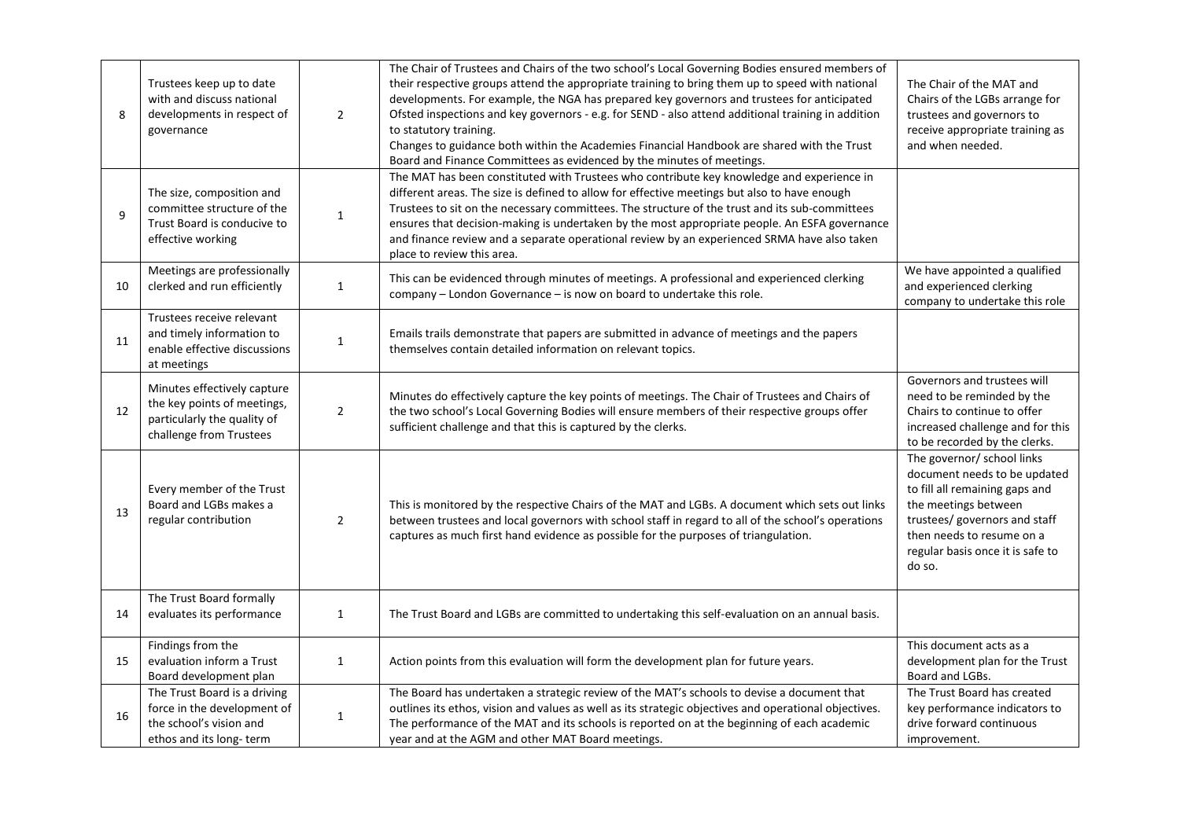| 8  | Trustees keep up to date<br>with and discuss national<br>developments in respect of<br>governance                    | $\overline{2}$ | The Chair of Trustees and Chairs of the two school's Local Governing Bodies ensured members of<br>their respective groups attend the appropriate training to bring them up to speed with national<br>developments. For example, the NGA has prepared key governors and trustees for anticipated<br>Ofsted inspections and key governors - e.g. for SEND - also attend additional training in addition<br>to statutory training.<br>Changes to guidance both within the Academies Financial Handbook are shared with the Trust<br>Board and Finance Committees as evidenced by the minutes of meetings. | The Chair of the MAT and<br>Chairs of the LGBs arrange for<br>trustees and governors to<br>receive appropriate training as<br>and when needed.                                                                                   |
|----|----------------------------------------------------------------------------------------------------------------------|----------------|--------------------------------------------------------------------------------------------------------------------------------------------------------------------------------------------------------------------------------------------------------------------------------------------------------------------------------------------------------------------------------------------------------------------------------------------------------------------------------------------------------------------------------------------------------------------------------------------------------|----------------------------------------------------------------------------------------------------------------------------------------------------------------------------------------------------------------------------------|
| 9  | The size, composition and<br>committee structure of the<br>Trust Board is conducive to<br>effective working          | $\mathbf 1$    | The MAT has been constituted with Trustees who contribute key knowledge and experience in<br>different areas. The size is defined to allow for effective meetings but also to have enough<br>Trustees to sit on the necessary committees. The structure of the trust and its sub-committees<br>ensures that decision-making is undertaken by the most appropriate people. An ESFA governance<br>and finance review and a separate operational review by an experienced SRMA have also taken<br>place to review this area.                                                                              |                                                                                                                                                                                                                                  |
| 10 | Meetings are professionally<br>clerked and run efficiently                                                           | $\mathbf{1}$   | This can be evidenced through minutes of meetings. A professional and experienced clerking<br>company - London Governance - is now on board to undertake this role.                                                                                                                                                                                                                                                                                                                                                                                                                                    | We have appointed a qualified<br>and experienced clerking<br>company to undertake this role                                                                                                                                      |
| 11 | Trustees receive relevant<br>and timely information to<br>enable effective discussions<br>at meetings                | $\mathbf{1}$   | Emails trails demonstrate that papers are submitted in advance of meetings and the papers<br>themselves contain detailed information on relevant topics.                                                                                                                                                                                                                                                                                                                                                                                                                                               |                                                                                                                                                                                                                                  |
| 12 | Minutes effectively capture<br>the key points of meetings,<br>particularly the quality of<br>challenge from Trustees | $\overline{2}$ | Minutes do effectively capture the key points of meetings. The Chair of Trustees and Chairs of<br>the two school's Local Governing Bodies will ensure members of their respective groups offer<br>sufficient challenge and that this is captured by the clerks.                                                                                                                                                                                                                                                                                                                                        | Governors and trustees will<br>need to be reminded by the<br>Chairs to continue to offer<br>increased challenge and for this<br>to be recorded by the clerks.                                                                    |
| 13 | Every member of the Trust<br>Board and LGBs makes a<br>regular contribution                                          | $\overline{2}$ | This is monitored by the respective Chairs of the MAT and LGBs. A document which sets out links<br>between trustees and local governors with school staff in regard to all of the school's operations<br>captures as much first hand evidence as possible for the purposes of triangulation.                                                                                                                                                                                                                                                                                                           | The governor/ school links<br>document needs to be updated<br>to fill all remaining gaps and<br>the meetings between<br>trustees/ governors and staff<br>then needs to resume on a<br>regular basis once it is safe to<br>do so. |
| 14 | The Trust Board formally<br>evaluates its performance                                                                | $\mathbf{1}$   | The Trust Board and LGBs are committed to undertaking this self-evaluation on an annual basis.                                                                                                                                                                                                                                                                                                                                                                                                                                                                                                         |                                                                                                                                                                                                                                  |
| 15 | Findings from the<br>evaluation inform a Trust<br>Board development plan                                             | $\mathbf{1}$   | Action points from this evaluation will form the development plan for future years.                                                                                                                                                                                                                                                                                                                                                                                                                                                                                                                    | This document acts as a<br>development plan for the Trust<br>Board and LGBs.                                                                                                                                                     |
| 16 | The Trust Board is a driving<br>force in the development of<br>the school's vision and<br>ethos and its long-term    | $\mathbf 1$    | The Board has undertaken a strategic review of the MAT's schools to devise a document that<br>outlines its ethos, vision and values as well as its strategic objectives and operational objectives.<br>The performance of the MAT and its schools is reported on at the beginning of each academic<br>year and at the AGM and other MAT Board meetings.                                                                                                                                                                                                                                                | The Trust Board has created<br>key performance indicators to<br>drive forward continuous<br>improvement.                                                                                                                         |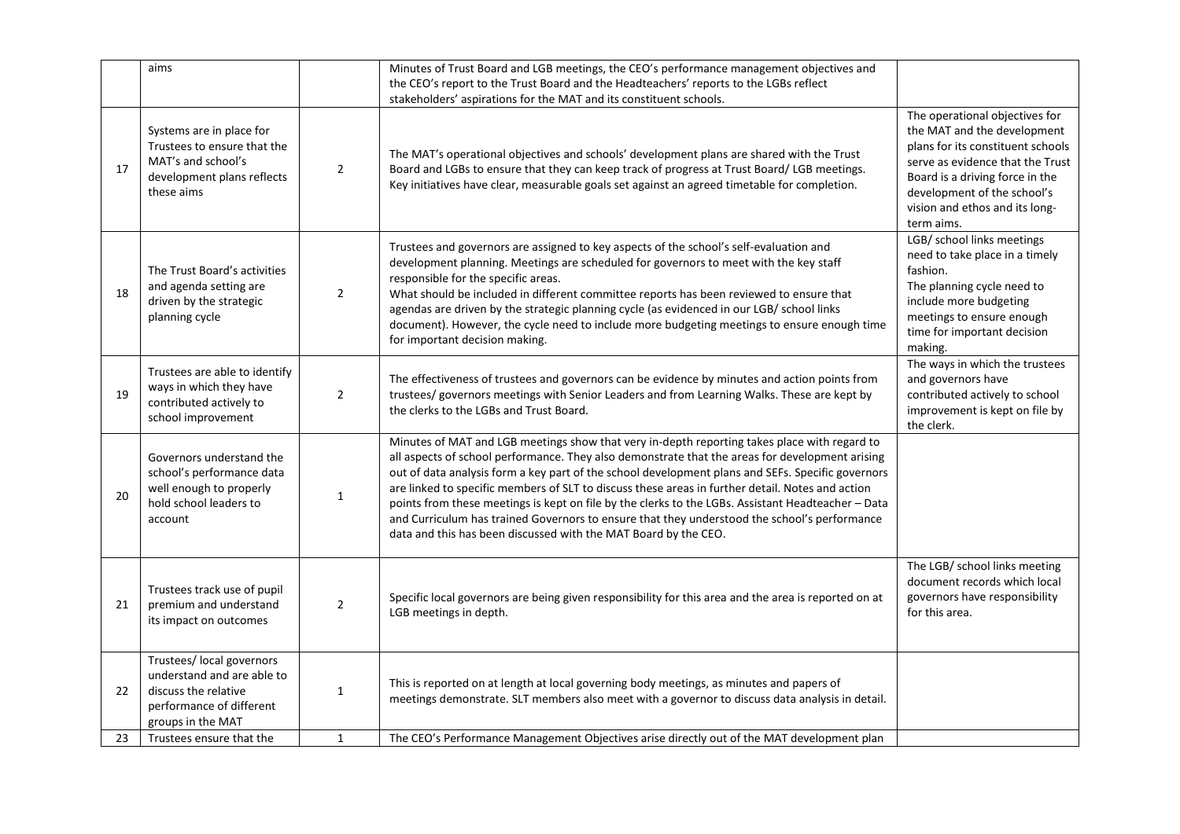|    | aims                                                                                                                             |                | Minutes of Trust Board and LGB meetings, the CEO's performance management objectives and<br>the CEO's report to the Trust Board and the Headteachers' reports to the LGBs reflect<br>stakeholders' aspirations for the MAT and its constituent schools.                                                                                                                                                                                                                                                                                                                                                                                                                           |                                                                                                                                                                                                                                                          |
|----|----------------------------------------------------------------------------------------------------------------------------------|----------------|-----------------------------------------------------------------------------------------------------------------------------------------------------------------------------------------------------------------------------------------------------------------------------------------------------------------------------------------------------------------------------------------------------------------------------------------------------------------------------------------------------------------------------------------------------------------------------------------------------------------------------------------------------------------------------------|----------------------------------------------------------------------------------------------------------------------------------------------------------------------------------------------------------------------------------------------------------|
| 17 | Systems are in place for<br>Trustees to ensure that the<br>MAT's and school's<br>development plans reflects<br>these aims        | $\overline{2}$ | The MAT's operational objectives and schools' development plans are shared with the Trust<br>Board and LGBs to ensure that they can keep track of progress at Trust Board/LGB meetings.<br>Key initiatives have clear, measurable goals set against an agreed timetable for completion.                                                                                                                                                                                                                                                                                                                                                                                           | The operational objectives for<br>the MAT and the development<br>plans for its constituent schools<br>serve as evidence that the Trust<br>Board is a driving force in the<br>development of the school's<br>vision and ethos and its long-<br>term aims. |
| 18 | The Trust Board's activities<br>and agenda setting are<br>driven by the strategic<br>planning cycle                              | $\overline{2}$ | Trustees and governors are assigned to key aspects of the school's self-evaluation and<br>development planning. Meetings are scheduled for governors to meet with the key staff<br>responsible for the specific areas.<br>What should be included in different committee reports has been reviewed to ensure that<br>agendas are driven by the strategic planning cycle (as evidenced in our LGB/ school links<br>document). However, the cycle need to include more budgeting meetings to ensure enough time<br>for important decision making.                                                                                                                                   | LGB/ school links meetings<br>need to take place in a timely<br>fashion.<br>The planning cycle need to<br>include more budgeting<br>meetings to ensure enough<br>time for important decision<br>making.                                                  |
| 19 | Trustees are able to identify<br>ways in which they have<br>contributed actively to<br>school improvement                        | $\overline{2}$ | The effectiveness of trustees and governors can be evidence by minutes and action points from<br>trustees/ governors meetings with Senior Leaders and from Learning Walks. These are kept by<br>the clerks to the LGBs and Trust Board.                                                                                                                                                                                                                                                                                                                                                                                                                                           | The ways in which the trustees<br>and governors have<br>contributed actively to school<br>improvement is kept on file by<br>the clerk.                                                                                                                   |
| 20 | Governors understand the<br>school's performance data<br>well enough to properly<br>hold school leaders to<br>account            | 1              | Minutes of MAT and LGB meetings show that very in-depth reporting takes place with regard to<br>all aspects of school performance. They also demonstrate that the areas for development arising<br>out of data analysis form a key part of the school development plans and SEFs. Specific governors<br>are linked to specific members of SLT to discuss these areas in further detail. Notes and action<br>points from these meetings is kept on file by the clerks to the LGBs. Assistant Headteacher - Data<br>and Curriculum has trained Governors to ensure that they understood the school's performance<br>data and this has been discussed with the MAT Board by the CEO. |                                                                                                                                                                                                                                                          |
| 21 | Trustees track use of pupil<br>premium and understand<br>its impact on outcomes                                                  | 2              | Specific local governors are being given responsibility for this area and the area is reported on at<br>LGB meetings in depth.                                                                                                                                                                                                                                                                                                                                                                                                                                                                                                                                                    | The LGB/ school links meeting<br>document records which local<br>governors have responsibility<br>for this area.                                                                                                                                         |
| 22 | Trustees/ local governors<br>understand and are able to<br>discuss the relative<br>performance of different<br>groups in the MAT | 1              | This is reported on at length at local governing body meetings, as minutes and papers of<br>meetings demonstrate. SLT members also meet with a governor to discuss data analysis in detail.                                                                                                                                                                                                                                                                                                                                                                                                                                                                                       |                                                                                                                                                                                                                                                          |
| 23 | Trustees ensure that the                                                                                                         | $\mathbf{1}$   | The CEO's Performance Management Objectives arise directly out of the MAT development plan                                                                                                                                                                                                                                                                                                                                                                                                                                                                                                                                                                                        |                                                                                                                                                                                                                                                          |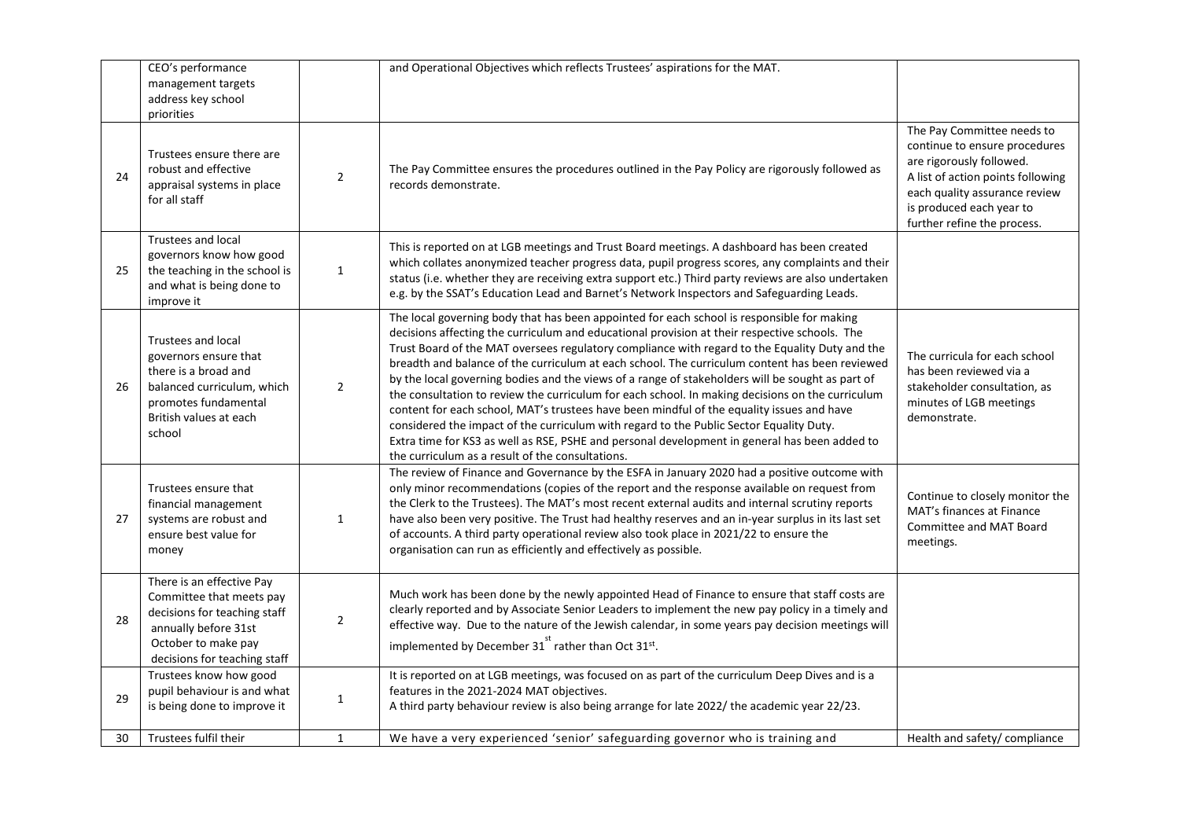|    | CEO's performance<br>management targets<br>address key school<br>priorities                                                                                          |                | and Operational Objectives which reflects Trustees' aspirations for the MAT.                                                                                                                                                                                                                                                                                                                                                                                                                                                                                                                                                                                                                                                                                                                                                                                                                                                                         |                                                                                                                                                                                                                          |
|----|----------------------------------------------------------------------------------------------------------------------------------------------------------------------|----------------|------------------------------------------------------------------------------------------------------------------------------------------------------------------------------------------------------------------------------------------------------------------------------------------------------------------------------------------------------------------------------------------------------------------------------------------------------------------------------------------------------------------------------------------------------------------------------------------------------------------------------------------------------------------------------------------------------------------------------------------------------------------------------------------------------------------------------------------------------------------------------------------------------------------------------------------------------|--------------------------------------------------------------------------------------------------------------------------------------------------------------------------------------------------------------------------|
| 24 | Trustees ensure there are<br>robust and effective<br>appraisal systems in place<br>for all staff                                                                     | $\overline{2}$ | The Pay Committee ensures the procedures outlined in the Pay Policy are rigorously followed as<br>records demonstrate.                                                                                                                                                                                                                                                                                                                                                                                                                                                                                                                                                                                                                                                                                                                                                                                                                               | The Pay Committee needs to<br>continue to ensure procedures<br>are rigorously followed.<br>A list of action points following<br>each quality assurance review<br>is produced each year to<br>further refine the process. |
| 25 | Trustees and local<br>governors know how good<br>the teaching in the school is<br>and what is being done to<br>improve it                                            | $\mathbf{1}$   | This is reported on at LGB meetings and Trust Board meetings. A dashboard has been created<br>which collates anonymized teacher progress data, pupil progress scores, any complaints and their<br>status (i.e. whether they are receiving extra support etc.) Third party reviews are also undertaken<br>e.g. by the SSAT's Education Lead and Barnet's Network Inspectors and Safeguarding Leads.                                                                                                                                                                                                                                                                                                                                                                                                                                                                                                                                                   |                                                                                                                                                                                                                          |
| 26 | <b>Trustees and local</b><br>governors ensure that<br>there is a broad and<br>balanced curriculum, which<br>promotes fundamental<br>British values at each<br>school | $\overline{2}$ | The local governing body that has been appointed for each school is responsible for making<br>decisions affecting the curriculum and educational provision at their respective schools. The<br>Trust Board of the MAT oversees regulatory compliance with regard to the Equality Duty and the<br>breadth and balance of the curriculum at each school. The curriculum content has been reviewed<br>by the local governing bodies and the views of a range of stakeholders will be sought as part of<br>the consultation to review the curriculum for each school. In making decisions on the curriculum<br>content for each school, MAT's trustees have been mindful of the equality issues and have<br>considered the impact of the curriculum with regard to the Public Sector Equality Duty.<br>Extra time for KS3 as well as RSE, PSHE and personal development in general has been added to<br>the curriculum as a result of the consultations. | The curricula for each school<br>has been reviewed via a<br>stakeholder consultation, as<br>minutes of LGB meetings<br>demonstrate.                                                                                      |
| 27 | Trustees ensure that<br>financial management<br>systems are robust and<br>ensure best value for<br>money                                                             | 1              | The review of Finance and Governance by the ESFA in January 2020 had a positive outcome with<br>only minor recommendations (copies of the report and the response available on request from<br>the Clerk to the Trustees). The MAT's most recent external audits and internal scrutiny reports<br>have also been very positive. The Trust had healthy reserves and an in-year surplus in its last set<br>of accounts. A third party operational review also took place in 2021/22 to ensure the<br>organisation can run as efficiently and effectively as possible.                                                                                                                                                                                                                                                                                                                                                                                  | Continue to closely monitor the<br>MAT's finances at Finance<br>Committee and MAT Board<br>meetings.                                                                                                                     |
| 28 | There is an effective Pay<br>Committee that meets pay<br>decisions for teaching staff<br>annually before 31st<br>October to make pay<br>decisions for teaching staff | $\overline{2}$ | Much work has been done by the newly appointed Head of Finance to ensure that staff costs are<br>clearly reported and by Associate Senior Leaders to implement the new pay policy in a timely and<br>effective way. Due to the nature of the Jewish calendar, in some years pay decision meetings will<br>implemented by December $31^{51}$ rather than Oct $31^{51}$ .                                                                                                                                                                                                                                                                                                                                                                                                                                                                                                                                                                              |                                                                                                                                                                                                                          |
| 29 | Trustees know how good<br>pupil behaviour is and what<br>is being done to improve it                                                                                 | $\mathbf{1}$   | It is reported on at LGB meetings, was focused on as part of the curriculum Deep Dives and is a<br>features in the 2021-2024 MAT objectives.<br>A third party behaviour review is also being arrange for late 2022/ the academic year 22/23.                                                                                                                                                                                                                                                                                                                                                                                                                                                                                                                                                                                                                                                                                                         |                                                                                                                                                                                                                          |
| 30 | Trustees fulfil their                                                                                                                                                | $\mathbf{1}$   | We have a very experienced 'senior' safeguarding governor who is training and                                                                                                                                                                                                                                                                                                                                                                                                                                                                                                                                                                                                                                                                                                                                                                                                                                                                        | Health and safety/ compliance                                                                                                                                                                                            |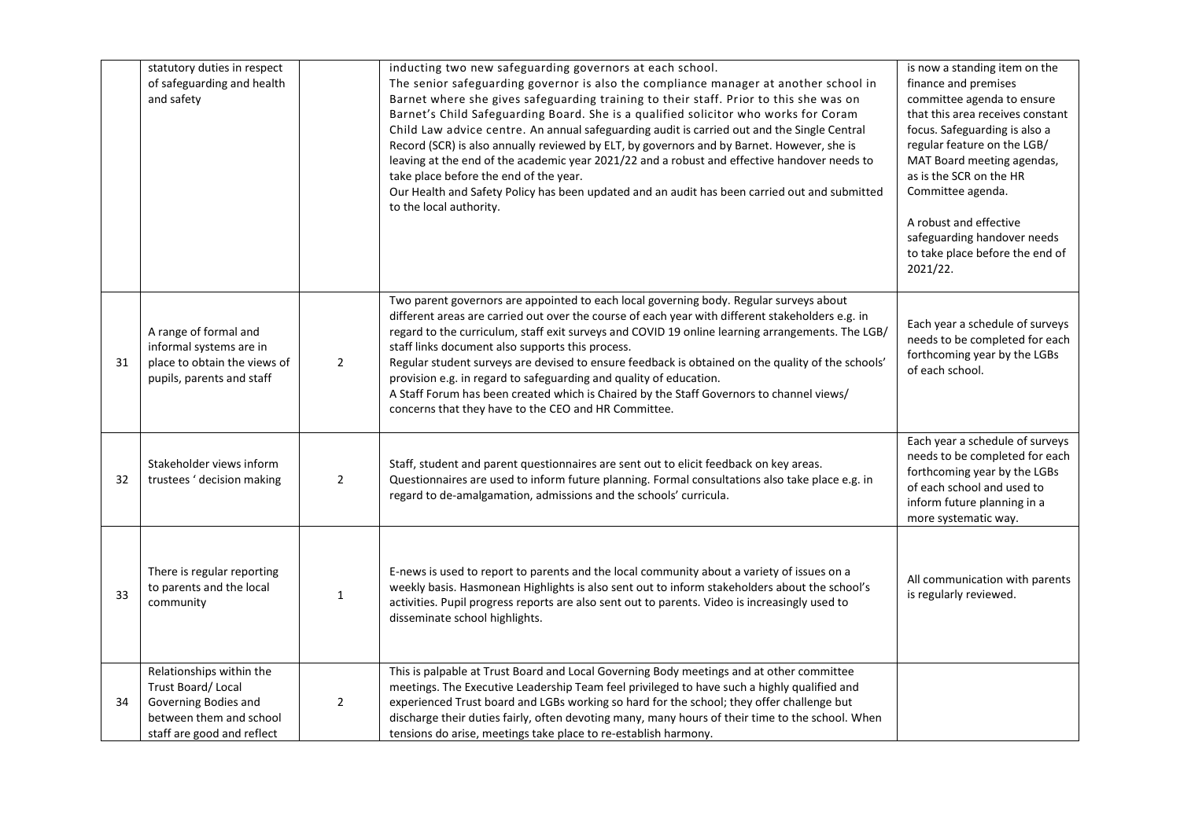|    | statutory duties in respect<br>of safeguarding and health<br>and safety                                                        |                | inducting two new safeguarding governors at each school.<br>The senior safeguarding governor is also the compliance manager at another school in<br>Barnet where she gives safeguarding training to their staff. Prior to this she was on<br>Barnet's Child Safeguarding Board. She is a qualified solicitor who works for Coram<br>Child Law advice centre. An annual safeguarding audit is carried out and the Single Central<br>Record (SCR) is also annually reviewed by ELT, by governors and by Barnet. However, she is<br>leaving at the end of the academic year 2021/22 and a robust and effective handover needs to<br>take place before the end of the year.<br>Our Health and Safety Policy has been updated and an audit has been carried out and submitted<br>to the local authority. | is now a standing item on the<br>finance and premises<br>committee agenda to ensure<br>that this area receives constant<br>focus. Safeguarding is also a<br>regular feature on the LGB/<br>MAT Board meeting agendas,<br>as is the SCR on the HR<br>Committee agenda.<br>A robust and effective<br>safeguarding handover needs<br>to take place before the end of<br>2021/22. |
|----|--------------------------------------------------------------------------------------------------------------------------------|----------------|-----------------------------------------------------------------------------------------------------------------------------------------------------------------------------------------------------------------------------------------------------------------------------------------------------------------------------------------------------------------------------------------------------------------------------------------------------------------------------------------------------------------------------------------------------------------------------------------------------------------------------------------------------------------------------------------------------------------------------------------------------------------------------------------------------|-------------------------------------------------------------------------------------------------------------------------------------------------------------------------------------------------------------------------------------------------------------------------------------------------------------------------------------------------------------------------------|
| 31 | A range of formal and<br>informal systems are in<br>place to obtain the views of<br>pupils, parents and staff                  | $\overline{2}$ | Two parent governors are appointed to each local governing body. Regular surveys about<br>different areas are carried out over the course of each year with different stakeholders e.g. in<br>regard to the curriculum, staff exit surveys and COVID 19 online learning arrangements. The LGB/<br>staff links document also supports this process.<br>Regular student surveys are devised to ensure feedback is obtained on the quality of the schools'<br>provision e.g. in regard to safeguarding and quality of education.<br>A Staff Forum has been created which is Chaired by the Staff Governors to channel views/<br>concerns that they have to the CEO and HR Committee.                                                                                                                   | Each year a schedule of surveys<br>needs to be completed for each<br>forthcoming year by the LGBs<br>of each school.                                                                                                                                                                                                                                                          |
| 32 | Stakeholder views inform<br>trustees ' decision making                                                                         | $\overline{2}$ | Staff, student and parent questionnaires are sent out to elicit feedback on key areas.<br>Questionnaires are used to inform future planning. Formal consultations also take place e.g. in<br>regard to de-amalgamation, admissions and the schools' curricula.                                                                                                                                                                                                                                                                                                                                                                                                                                                                                                                                      | Each year a schedule of surveys<br>needs to be completed for each<br>forthcoming year by the LGBs<br>of each school and used to<br>inform future planning in a<br>more systematic way.                                                                                                                                                                                        |
| 33 | There is regular reporting<br>to parents and the local<br>community                                                            | $\mathbf{1}$   | E-news is used to report to parents and the local community about a variety of issues on a<br>weekly basis. Hasmonean Highlights is also sent out to inform stakeholders about the school's<br>activities. Pupil progress reports are also sent out to parents. Video is increasingly used to<br>disseminate school highlights.                                                                                                                                                                                                                                                                                                                                                                                                                                                                     | All communication with parents<br>is regularly reviewed.                                                                                                                                                                                                                                                                                                                      |
| 34 | Relationships within the<br>Trust Board/Local<br>Governing Bodies and<br>between them and school<br>staff are good and reflect | $\overline{2}$ | This is palpable at Trust Board and Local Governing Body meetings and at other committee<br>meetings. The Executive Leadership Team feel privileged to have such a highly qualified and<br>experienced Trust board and LGBs working so hard for the school; they offer challenge but<br>discharge their duties fairly, often devoting many, many hours of their time to the school. When<br>tensions do arise, meetings take place to re-establish harmony.                                                                                                                                                                                                                                                                                                                                         |                                                                                                                                                                                                                                                                                                                                                                               |